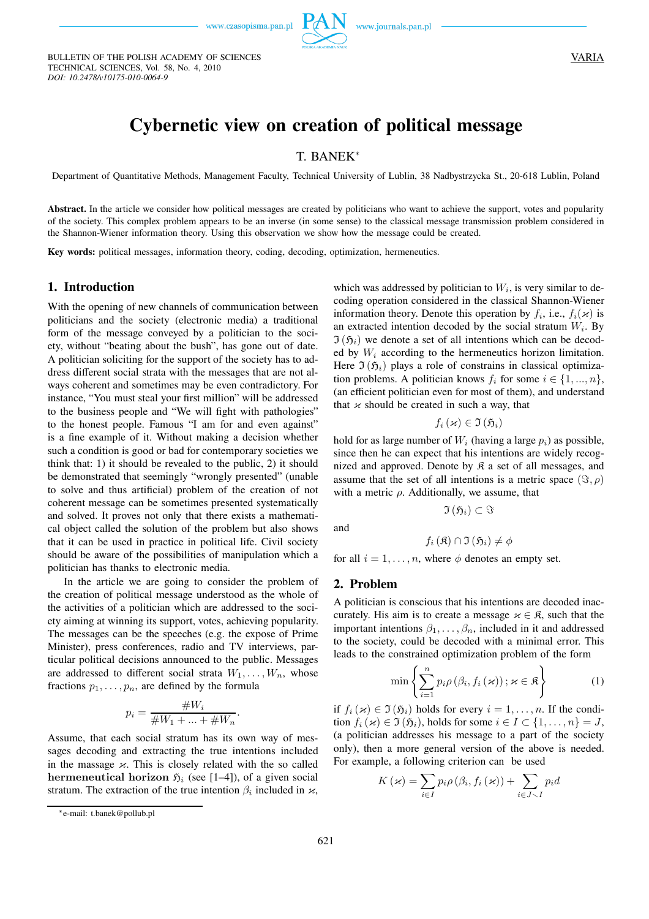BULLETIN OF THE POLISH ACADEMY OF SCIENCES

TECHNICAL SCIENCES, Vol. 58, No. 4, 2010

*DOI: 10.2478/v10175-010-0064-9*



# **Cybernetic view on creation of political message**

# T. BANEK<sup>∗</sup>

Department of Quantitative Methods, Management Faculty, Technical University of Lublin, 38 Nadbystrzycka St., 20-618 Lublin, Poland

Abstract. In the article we consider how political messages are created by politicians who want to achieve the support, votes and popularity of the society. This complex problem appears to be an inverse (in some sense) to the classical message transmission problem considered in the Shannon-Wiener information theory. Using this observation we show how the message could be created.

**Key words:** political messages, information theory, coding, decoding, optimization, hermeneutics.

## **1. Introduction**

With the opening of new channels of communication between politicians and the society (electronic media) a traditional form of the message conveyed by a politician to the society, without "beating about the bush", has gone out of date. A politician soliciting for the support of the society has to address different social strata with the messages that are not always coherent and sometimes may be even contradictory. For instance, "You must steal your first million" will be addressed to the business people and "We will fight with pathologies" to the honest people. Famous "I am for and even against" is a fine example of it. Without making a decision whether such a condition is good or bad for contemporary societies we think that: 1) it should be revealed to the public, 2) it should be demonstrated that seemingly "wrongly presented" (unable to solve and thus artificial) problem of the creation of not coherent message can be sometimes presented systematically and solved. It proves not only that there exists a mathematical object called the solution of the problem but also shows that it can be used in practice in political life. Civil society should be aware of the possibilities of manipulation which a politician has thanks to electronic media.

In the article we are going to consider the problem of the creation of political message understood as the whole of the activities of a politician which are addressed to the society aiming at winning its support, votes, achieving popularity. The messages can be the speeches (e.g. the expose of Prime Minister), press conferences, radio and TV interviews, particular political decisions announced to the public. Messages are addressed to different social strata  $W_1, \ldots, W_n$ , whose fractions  $p_1, \ldots, p_n$ , are defined by the formula

$$
p_i = \frac{\#W_i}{\#W_1 + \dots + \#W_n}.
$$

Assume, that each social stratum has its own way of messages decoding and extracting the true intentions included in the massage  $\varkappa$ . This is closely related with the so called hermeneutical horizon  $\mathfrak{H}_i$  (see [1–4]), of a given social stratum. The extraction of the true intention  $\beta_i$  included in  $\varkappa$ ,

which was addressed by politician to  $W_i$ , is very similar to decoding operation considered in the classical Shannon-Wiener information theory. Denote this operation by  $f_i$ , i.e.,  $f_i(\varkappa)$  is an extracted intention decoded by the social stratum  $W_i$ . By  $\mathfrak{I}(\mathfrak{H}_i)$  we denote a set of all intentions which can be decoded by  $W_i$  according to the hermeneutics horizon limitation. Here  $\mathfrak{I}(\mathfrak{H}_i)$  plays a role of constrains in classical optimization problems. A politician knows  $f_i$  for some  $i \in \{1, ..., n\}$ , (an efficient politician even for most of them), and understand that  $x$  should be created in such a way, that

$$
f_i\left(\varkappa\right)\in\mathfrak{I}\left(\mathfrak{H}_i\right)
$$

hold for as large number of  $W_i$  (having a large  $p_i$ ) as possible, since then he can expect that his intentions are widely recognized and approved. Denote by  $\mathfrak K$  a set of all messages, and assume that the set of all intentions is a metric space  $(\Im, \rho)$ with a metric  $\rho$ . Additionally, we assume, that

and

$$
f_i\left(\mathfrak{K}\right) \cap \mathfrak{I}\left(\mathfrak{H}_i\right) \neq \phi
$$

 $\mathfrak{I}\left(\mathfrak{H}_i\right)\subset \Im$ 

for all  $i = 1, \ldots, n$ , where  $\phi$  denotes an empty set.

### **2. Problem**

A politician is conscious that his intentions are decoded inaccurately. His aim is to create a message  $x \in \mathfrak{K}$ , such that the important intentions  $\beta_1, \ldots, \beta_n$ , included in it and addressed to the society, could be decoded with a minimal error. This leads to the constrained optimization problem of the form

$$
\min\left\{\sum_{i=1}^{n} p_i \rho\left(\beta_i, f_i\left(\varkappa\right)\right); \varkappa \in \mathfrak{K}\right\} \tag{1}
$$

if  $f_i(x) \in \mathfrak{I}(\mathfrak{H}_i)$  holds for every  $i = 1, \ldots, n$ . If the condition  $f_i(x) \in \mathfrak{I}(\mathfrak{H}_i)$ , holds for some  $i \in I \subset \{1, \ldots, n\} = J$ , (a politician addresses his message to a part of the society only), then a more general version of the above is needed. For example, a following criterion can be used

$$
K(\varkappa) = \sum_{i \in I} p_i \rho(\beta_i, f_i(\varkappa)) + \sum_{i \in J \smallsetminus I} p_i d
$$

<sup>∗</sup>e-mail: t.banek@pollub.pl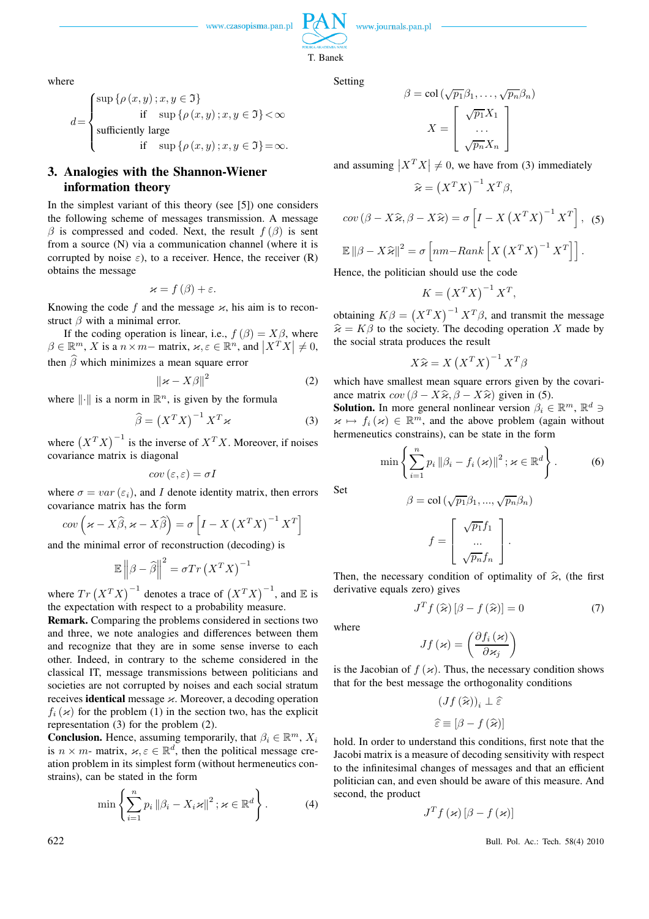www.journals.pan.pl

 $\beta$ 

where

$$
d = \begin{cases} \sup \{ \rho(x, y) \, ; x, y \in \mathfrak{I} \} \\ \text{if } \sup \{ \rho(x, y) \, ; x, y \in \mathfrak{I} \} < \infty \\ \text{sufficiently large} \\ \text{if } \sup \{ \rho(x, y) \, ; x, y \in \mathfrak{I} \} = \infty. \end{cases}
$$

# **3. Analogies with the Shannon-Wiener information theory**

In the simplest variant of this theory (see [5]) one considers the following scheme of messages transmission. A message  $\beta$  is compressed and coded. Next, the result  $f(\beta)$  is sent from a source (N) via a communication channel (where it is corrupted by noise  $\varepsilon$ ), to a receiver. Hence, the receiver (R) obtains the message

$$
\varkappa = f(\beta) + \varepsilon.
$$

Knowing the code f and the message  $\varkappa$ , his aim is to reconstruct  $\beta$  with a minimal error.

If the coding operation is linear, i.e.,  $f(\beta) = X\beta$ , where  $\beta \in \mathbb{R}^m$ , X is a  $n \times m$  matrix,  $\varkappa, \varepsilon \in \mathbb{R}^n$ , and  $|X^T X| \neq 0$ , then  $\widehat{\beta}$  which minimizes a mean square error

$$
\|\varkappa - X\beta\|^2 \tag{2}
$$

where  $\|\cdot\|$  is a norm in  $\mathbb{R}^n$ , is given by the formula

$$
\widehat{\beta} = \left(X^T X\right)^{-1} X^T \varkappa \tag{3}
$$

where  $(X^T X)^{-1}$  is the inverse of  $X^T X$ . Moreover, if noises covariance matrix is diagonal

$$
cov\left(\varepsilon,\varepsilon\right)=\sigma I
$$

where  $\sigma = var(\varepsilon_i)$ , and I denote identity matrix, then errors covariance matrix has the form

$$
cov\left(\varkappa - X\widehat{\beta}, \varkappa - X\widehat{\beta}\right) = \sigma\left[I - X\left(X^T X\right)^{-1} X^T\right]
$$

and the minimal error of reconstruction (decoding) is

$$
\mathbb{E}\left\|\beta-\widehat{\beta}\right\|^2 = \sigma Tr\left(X^TX\right)^{-1}
$$

where  $Tr(X^TX)^{-1}$  denotes a trace of  $(X^TX)^{-1}$ , and E is the expectation with respect to a probability measure.

**Remark.** Comparing the problems considered in sections two and three, we note analogies and differences between them and recognize that they are in some sense inverse to each other. Indeed, in contrary to the scheme considered in the classical IT, message transmissions between politicians and societies are not corrupted by noises and each social stratum receives **identical** message κ. Moreover, a decoding operation  $f_i(\varkappa)$  for the problem (1) in the section two, has the explicit representation (3) for the problem (2).

**Conclusion.** Hence, assuming temporarily, that  $\beta_i \in \mathbb{R}^m$ ,  $X_i$ is  $n \times m$ - matrix,  $\varkappa, \varepsilon \in \mathbb{R}^d$ , then the political message creation problem in its simplest form (without hermeneutics constrains), can be stated in the form

$$
\min\left\{\sum_{i=1}^{n} p_i \left\|\beta_i - X_i \varkappa\right\|^2; \varkappa \in \mathbb{R}^d\right\}.
$$
 (4)

Setting

T. Banek

$$
= \text{col}\left(\sqrt{p_1}\beta_1, \dots, \sqrt{p_n}\beta_n\right)
$$

$$
X = \left[\begin{array}{c} \sqrt{p_1}X_1 \\ \dots \\ \sqrt{p_n}X_n \end{array}\right]
$$

and assuming  $|X^T X| \neq 0$ , we have from (3) immediately

$$
\widehat{\varkappa} = \left( X^T X \right)^{-1} X^T \beta,
$$

$$
cov (\beta - X\hat{\varkappa}, \beta - X\hat{\varkappa}) = \sigma \left[ I - X (X^T X)^{-1} X^T \right],
$$
 (5)  

$$
\mathbb{E} ||\beta - X\hat{\varkappa}||^2 = \sigma \left[ nm - Rank \left[ X (X^T X)^{-1} X^T \right] \right].
$$

Hence, the politician should use the code

$$
K = \left(X^T X\right)^{-1} X^T,
$$

obtaining  $K\beta = (X^T X)^{-1} X^T \beta$ , and transmit the message  $\hat{\varkappa} = K\beta$  to the society. The decoding operation X made by the social strata produces the result

$$
X\widehat{\varkappa} = X(X^T X)^{-1} X^T \beta
$$

which have smallest mean square errors given by the covariance matrix  $cov (\beta - X\hat{\kappa}, \beta - X\hat{\kappa})$  given in (5).

**Solution.** In more general nonlinear version  $\beta_i \in \mathbb{R}^m$ ,  $\mathbb{R}^d \ni$  $\mathcal{H} \mapsto f_i(\mathcal{H}) \in \mathbb{R}^m$ , and the above problem (again without hermeneutics constrains), can be state in the form

$$
\min\left\{\sum_{i=1}^{n}p_{i}\left\|\beta_{i}-f_{i}\left(\varkappa\right)\right\|^{2};\varkappa\in\mathbb{R}^{d}\right\}.
$$
 (6)

Set

$$
\beta = \text{col}\left(\sqrt{p_1}\beta_1, ..., \sqrt{p_n}\beta_n\right)
$$

$$
f = \begin{bmatrix} \sqrt{p_1}f_1 \\ ... \\ \sqrt{p_n}f_n \end{bmatrix}.
$$

Then, the necessary condition of optimality of  $\hat{\varkappa}$ , (the first derivative equals zero) gives

$$
J^T f\left(\widehat{\mathbf{x}}\right) \left[\beta - f\left(\widehat{\mathbf{x}}\right)\right] = 0 \tag{7}
$$

where

$$
Jf\left(\varkappa\right) = \left(\frac{\partial f_i\left(\varkappa\right)}{\partial\varkappa_j}\right)
$$

is the Jacobian of  $f(x)$ . Thus, the necessary condition shows that for the best message the orthogonality conditions

$$
(Jf(\widehat{\mathbf{x}}))_i \perp \widehat{\varepsilon}
$$

$$
\widehat{\varepsilon} \equiv [\beta - f(\widehat{\mathbf{x}})]
$$

hold. In order to understand this conditions, first note that the Jacobi matrix is a measure of decoding sensitivity with respect to the infinitesimal changes of messages and that an efficient politician can, and even should be aware of this measure. And second, the product

$$
J^T f\left(\varkappa\right) \left[\beta - f\left(\varkappa\right)\right]
$$

622 Bull. Pol. Ac.: Tech. 58(4) 2010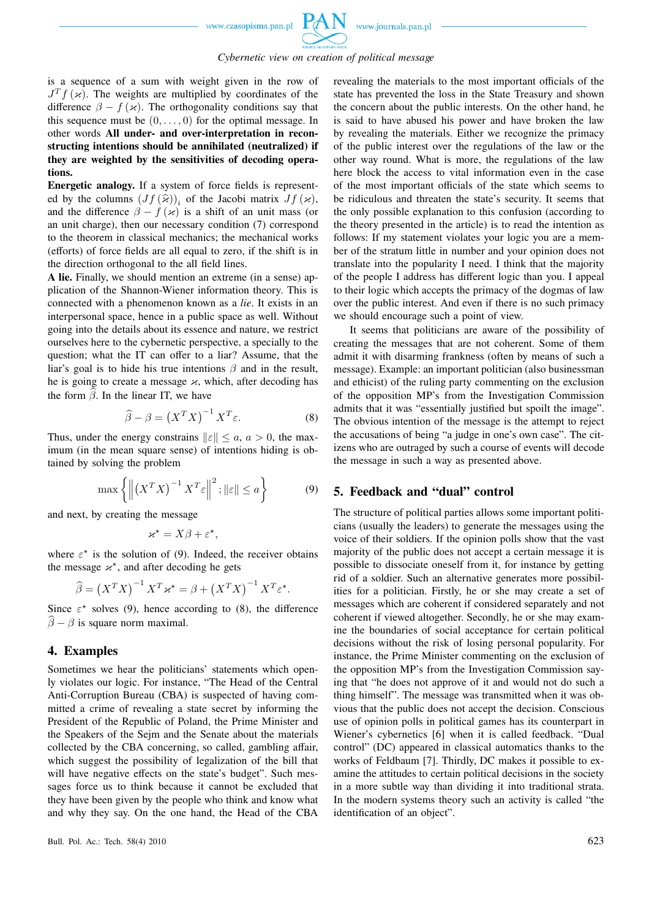

is a sequence of a sum with weight given in the row of  $J^T f(x)$ . The weights are multiplied by coordinates of the difference  $\beta - f(\varkappa)$ . The orthogonality conditions say that this sequence must be  $(0, \ldots, 0)$  for the optimal message. In other words **All under- and over-interpretation in reconstructing intentions should be annihilated (neutralized) if they are weighted by the sensitivities of decoding operations.**

**Energetic analogy.** If a system of force fields is represented by the columns  $(Jf(\hat{\kappa}))_i$  of the Jacobi matrix  $Jf(\kappa)$ , and the difference  $\beta - f(\varkappa)$  is a shift of an unit mass (or an unit charge), then our necessary condition (7) correspond to the theorem in classical mechanics; the mechanical works (efforts) of force fields are all equal to zero, if the shift is in the direction orthogonal to the all field lines.

**A lie.** Finally, we should mention an extreme (in a sense) application of the Shannon-Wiener information theory. This is connected with a phenomenon known as a *lie*. It exists in an interpersonal space, hence in a public space as well. Without going into the details about its essence and nature, we restrict ourselves here to the cybernetic perspective, a specially to the question; what the IT can offer to a liar? Assume, that the liar's goal is to hide his true intentions  $\beta$  and in the result, he is going to create a message  $\varkappa$ , which, after decoding has the form  $\beta$ . In the linear IT, we have

$$
\widehat{\beta} - \beta = \left(X^T X\right)^{-1} X^T \varepsilon. \tag{8}
$$

Thus, under the energy constrains  $||\varepsilon|| \le a, a > 0$ , the maximum (in the mean square sense) of intentions hiding is obtained by solving the problem

$$
\max\left\{ \left\| \left( X^T X \right)^{-1} X^T \varepsilon \right\|^2; \|\varepsilon\| \le a \right\} \tag{9}
$$

.

and next, by creating the message

$$
\varkappa^{\star}=X\beta+\varepsilon^{\star},
$$

where  $\varepsilon^*$  is the solution of (9). Indeed, the receiver obtains the message  $x^*$ , and after decoding he gets

$$
\widehat{\beta} = \left(X^T X\right)^{-1} X^T \varkappa^* = \beta + \left(X^T X\right)^{-1} X^T \varepsilon^*
$$

Since  $\varepsilon^*$  solves (9), hence according to (8), the difference  $\hat{\beta} - \beta$  is square norm maximal.

## **4. Examples**

Sometimes we hear the politicians' statements which openly violates our logic. For instance, "The Head of the Central Anti-Corruption Bureau (CBA) is suspected of having committed a crime of revealing a state secret by informing the President of the Republic of Poland, the Prime Minister and the Speakers of the Sejm and the Senate about the materials collected by the CBA concerning, so called, gambling affair, which suggest the possibility of legalization of the bill that will have negative effects on the state's budget". Such messages force us to think because it cannot be excluded that they have been given by the people who think and know what and why they say. On the one hand, the Head of the CBA

revealing the materials to the most important officials of the state has prevented the loss in the State Treasury and shown the concern about the public interests. On the other hand, he is said to have abused his power and have broken the law by revealing the materials. Either we recognize the primacy of the public interest over the regulations of the law or the other way round. What is more, the regulations of the law here block the access to vital information even in the case of the most important officials of the state which seems to be ridiculous and threaten the state's security. It seems that the only possible explanation to this confusion (according to the theory presented in the article) is to read the intention as follows: If my statement violates your logic you are a member of the stratum little in number and your opinion does not translate into the popularity I need. I think that the majority of the people I address has different logic than you. I appeal to their logic which accepts the primacy of the dogmas of law over the public interest. And even if there is no such primacy we should encourage such a point of view.

It seems that politicians are aware of the possibility of creating the messages that are not coherent. Some of them admit it with disarming frankness (often by means of such a message). Example: an important politician (also businessman and ethicist) of the ruling party commenting on the exclusion of the opposition MP's from the Investigation Commission admits that it was "essentially justified but spoilt the image". The obvious intention of the message is the attempt to reject the accusations of being "a judge in one's own case". The citizens who are outraged by such a course of events will decode the message in such a way as presented above.

# **5. Feedback and "dual" control**

The structure of political parties allows some important politicians (usually the leaders) to generate the messages using the voice of their soldiers. If the opinion polls show that the vast majority of the public does not accept a certain message it is possible to dissociate oneself from it, for instance by getting rid of a soldier. Such an alternative generates more possibilities for a politician. Firstly, he or she may create a set of messages which are coherent if considered separately and not coherent if viewed altogether. Secondly, he or she may examine the boundaries of social acceptance for certain political decisions without the risk of losing personal popularity. For instance, the Prime Minister commenting on the exclusion of the opposition MP's from the Investigation Commission saying that "he does not approve of it and would not do such a thing himself". The message was transmitted when it was obvious that the public does not accept the decision. Conscious use of opinion polls in political games has its counterpart in Wiener's cybernetics [6] when it is called feedback. "Dual control" (DC) appeared in classical automatics thanks to the works of Feldbaum [7]. Thirdly, DC makes it possible to examine the attitudes to certain political decisions in the society in a more subtle way than dividing it into traditional strata. In the modern systems theory such an activity is called "the identification of an object".